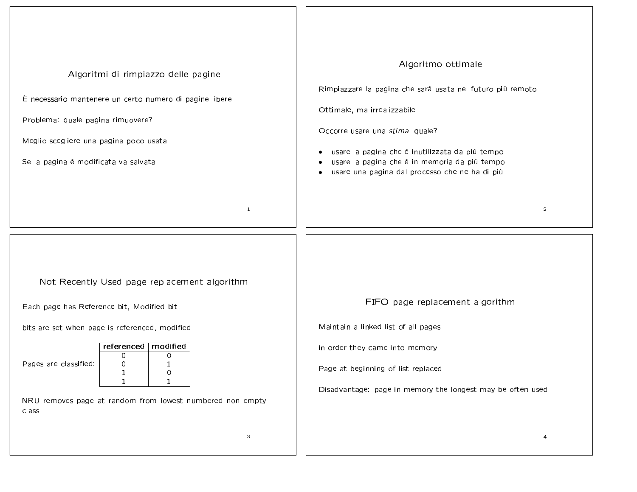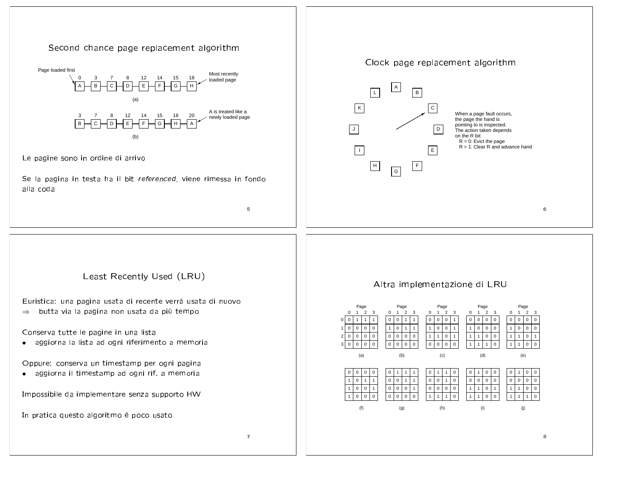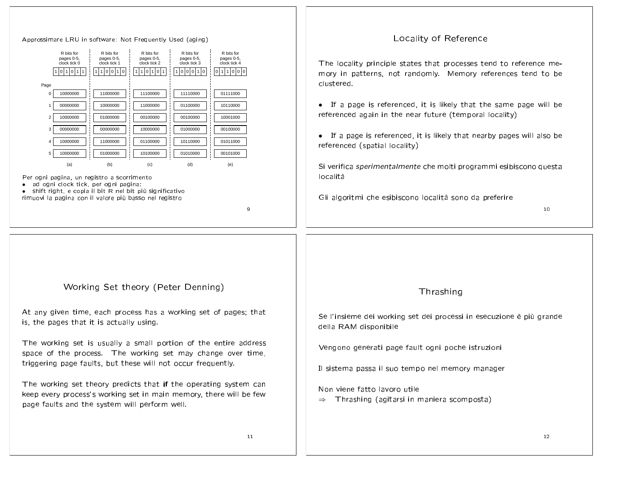| Approssimare LRU in software: Not Frequently Used (aging)                                                                                                                                                                                                                                                                                                                                                                                                                                                                                                                                                                                                                                                                                                                                                                                                                                                             | Locality of Reference                                                                                                                                                                                                                                                                                                                                                                                                                                                                                                                                  |  |  |
|-----------------------------------------------------------------------------------------------------------------------------------------------------------------------------------------------------------------------------------------------------------------------------------------------------------------------------------------------------------------------------------------------------------------------------------------------------------------------------------------------------------------------------------------------------------------------------------------------------------------------------------------------------------------------------------------------------------------------------------------------------------------------------------------------------------------------------------------------------------------------------------------------------------------------|--------------------------------------------------------------------------------------------------------------------------------------------------------------------------------------------------------------------------------------------------------------------------------------------------------------------------------------------------------------------------------------------------------------------------------------------------------------------------------------------------------------------------------------------------------|--|--|
| R bits for<br>R bits for<br>R bits for<br>R bits for<br>R bits for<br>pages 0-5,<br>pages 0-5,<br>pages 0-5,<br>pages 0-5,<br>pages 0-5,<br>clock tick 2<br>clock tick 3<br>clock tick 1<br>clock tick 4<br>clock tick 0<br>1100110<br>110101<br>1000110<br>011000<br>1 0 1 0 1 1 <br>Page<br>10000000<br>11000000<br>11100000<br>11110000<br>01111000<br>00000000<br>10000000<br>11000000<br>01100000<br>10110000<br>10000000<br>01000000<br>00100000<br>00100000<br>10001000<br>00000000<br>00000000<br>10000000<br>01000000<br>00100000<br>10000000<br>11000000<br>01100000<br>10110000<br>01011000<br>10000000<br>01000000<br>10100000<br>01010000<br>00101000<br>(a)<br>(b)<br>(c)<br>(d)<br>(e)<br>Per ogni pagina, un registro a scorrimento<br>ad ogni clock tick, per ogni pagina:<br>shift right, e copia il bit R nel bit più significativo<br>rimuovi la pagina con il valore più basso nel registro<br>9 | The locality principle states that processes tend to reference me-<br>mory in patterns, not randomly. Memory references tend to be<br>clustered.<br>• If a page is referenced, it is likely that the same page will be<br>referenced again in the near future (temporal locality)<br>• If a page is referenced, it is likely that nearby pages will also be<br>referenced (spatial locality)<br>Si verifica <i>sperimentalmente</i> che molti programmi esibiscono questa<br>località<br>Gli algoritmi che esibiscono località sono da preferire<br>10 |  |  |
| Working Set theory (Peter Denning)<br>At any given time, each process has a working set of pages; that<br>is, the pages that it is actually using.<br>The working set is usually a small portion of the entire address                                                                                                                                                                                                                                                                                                                                                                                                                                                                                                                                                                                                                                                                                                | Thrashing<br>Se l'insieme dei working set dei processi in esecuzione è più grande<br>della RAM disponibile                                                                                                                                                                                                                                                                                                                                                                                                                                             |  |  |
| space of the process. The working set may change over time,<br>triggering page faults, but these will not occur frequently.<br>The working set theory predicts that if the operating system can                                                                                                                                                                                                                                                                                                                                                                                                                                                                                                                                                                                                                                                                                                                       | Vengono generati page fault ogni poche istruzioni<br>Il sistema passa il suo tempo nel memory manager                                                                                                                                                                                                                                                                                                                                                                                                                                                  |  |  |
| keep every process's working set in main memory, there will be few<br>page faults and the system will perform well.                                                                                                                                                                                                                                                                                                                                                                                                                                                                                                                                                                                                                                                                                                                                                                                                   | Non viene fatto lavoro utile<br>Thrashing (agitarsi in maniera scomposta)<br>$\Rightarrow$                                                                                                                                                                                                                                                                                                                                                                                                                                                             |  |  |
| 11                                                                                                                                                                                                                                                                                                                                                                                                                                                                                                                                                                                                                                                                                                                                                                                                                                                                                                                    | $12 \overline{ }$                                                                                                                                                                                                                                                                                                                                                                                                                                                                                                                                      |  |  |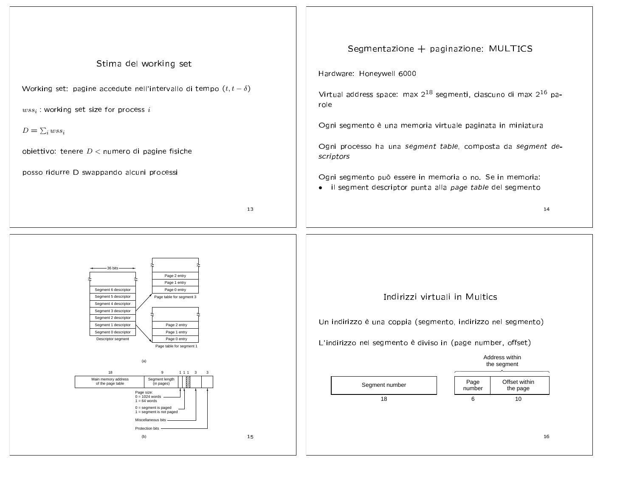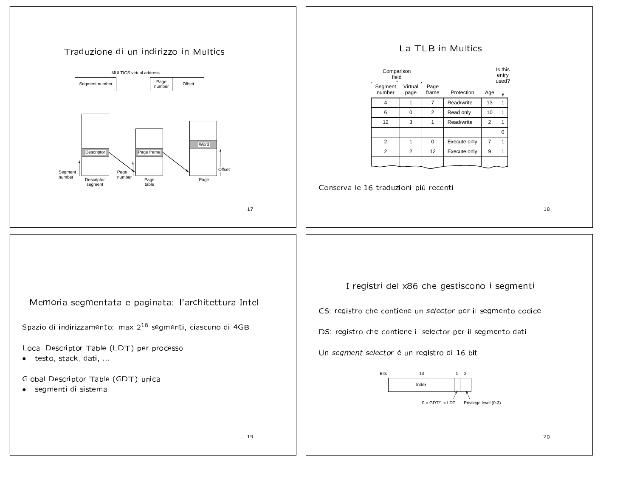## the contract of the contract of the contract of the contract of the contract of the contract of the contract of



## $\sim$  TI D  $\sim$  Multi-

| Comparison<br>field |                 |                |              |                | Is this<br>entry<br>used? |  |
|---------------------|-----------------|----------------|--------------|----------------|---------------------------|--|
| Segment<br>number   | Virtual<br>page | Page<br>frame  | Protection   | Age            |                           |  |
| 4                   |                 | 7              | Read/write   | 13             | 1                         |  |
| 6                   | O               | $\overline{2}$ | Read only    | 10             | 1                         |  |
| 12                  | 3               |                | Read/write   | $\overline{2}$ | 1                         |  |
|                     |                 |                |              |                | 0                         |  |
| 2                   |                 | 0              | Execute only |                | 1                         |  |
| $\overline{2}$      | 2               | 12             | Execute only | 9              |                           |  |
|                     |                 |                |              |                |                           |  |

Conserva le 16 traduzioni più recenti

)

loreario cogregadato e posicoto: l'orobitetturo Inte

Spazio di indirizzamento: max 2<sup>16</sup> segmenti, ciascuno di 4G<br>.

Local Descriptor Table (LDT) per processo

 $\bullet$  testo, stack, dati, ..<br>alliests

Global Descriptor Table (GDT) unica

• seamenti di sistem

 $\blacksquare$  . The state of the state of the state of the state of the state of the state of the state of the state of the state of the state of the state of the state of the state of the state of the state of the state of the  $\bullet$  , and a set of the set of the set of the set of the set of the set of the set of the set of the set of the set of the set of the set of the set of the set of the set of the set of the set of the set of the set of the DS: registro che contiene il selector per il segmento dati Un *segment selector* è un registro di 16 bit  $0 =$  GDT/1 = LDT Privilege level (0-3) IndexBits 131 2